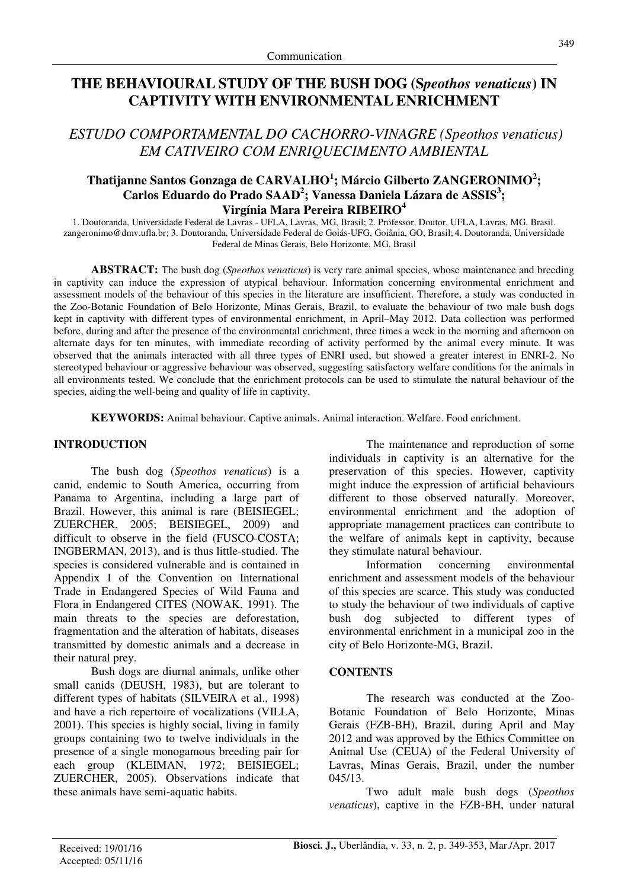# **THE BEHAVIOURAL STUDY OF THE BUSH DOG (S***peothos venaticus***) IN CAPTIVITY WITH ENVIRONMENTAL ENRICHMENT**

*ESTUDO COMPORTAMENTAL DO CACHORRO-VINAGRE (Speothos venaticus) EM CATIVEIRO COM ENRIQUECIMENTO AMBIENTAL* 

# **Thatijanne Santos Gonzaga de CARVALHO<sup>1</sup> ; Márcio Gilberto ZANGERONIMO<sup>2</sup> ; Carlos Eduardo do Prado SAAD<sup>2</sup> ; Vanessa Daniela Lázara de ASSIS<sup>3</sup> ; Virgínia Mara Pereira RIBEIRO<sup>4</sup>**

1. Doutoranda, Universidade Federal de Lavras - UFLA, Lavras, MG, Brasil; 2. Professor, Doutor, UFLA, Lavras, MG, Brasil. zangeronimo@dmv.ufla.br; 3. Doutoranda, Universidade Federal de Goiás-UFG, Goiânia, GO, Brasil; 4. Doutoranda, Universidade Federal de Minas Gerais, Belo Horizonte, MG, Brasil

**ABSTRACT:** The bush dog (*Speothos venaticus*) is very rare animal species, whose maintenance and breeding in captivity can induce the expression of atypical behaviour. Information concerning environmental enrichment and assessment models of the behaviour of this species in the literature are insufficient. Therefore, a study was conducted in the Zoo-Botanic Foundation of Belo Horizonte, Minas Gerais, Brazil, to evaluate the behaviour of two male bush dogs kept in captivity with different types of environmental enrichment, in April–May 2012. Data collection was performed before, during and after the presence of the environmental enrichment, three times a week in the morning and afternoon on alternate days for ten minutes, with immediate recording of activity performed by the animal every minute. It was observed that the animals interacted with all three types of ENRI used, but showed a greater interest in ENRI-2. No stereotyped behaviour or aggressive behaviour was observed, suggesting satisfactory welfare conditions for the animals in all environments tested. We conclude that the enrichment protocols can be used to stimulate the natural behaviour of the species, aiding the well-being and quality of life in captivity.

**KEYWORDS:** Animal behaviour. Captive animals. Animal interaction. Welfare. Food enrichment.

### **INTRODUCTION**

The bush dog (*Speothos venaticus*) is a canid, endemic to South America, occurring from Panama to Argentina, including a large part of Brazil. However, this animal is rare (BEISIEGEL; ZUERCHER, 2005; BEISIEGEL, 2009) and difficult to observe in the field (FUSCO-COSTA; INGBERMAN, 2013), and is thus little-studied. The species is considered vulnerable and is contained in Appendix I of the Convention on International Trade in Endangered Species of Wild Fauna and Flora in Endangered CITES (NOWAK, 1991). The main threats to the species are deforestation, fragmentation and the alteration of habitats, diseases transmitted by domestic animals and a decrease in their natural prey.

 Bush dogs are diurnal animals, unlike other small canids (DEUSH, 1983), but are tolerant to different types of habitats (SILVEIRA et al., 1998) and have a rich repertoire of vocalizations (VILLA, 2001). This species is highly social, living in family groups containing two to twelve individuals in the presence of a single monogamous breeding pair for each group (KLEIMAN, 1972; BEISIEGEL; ZUERCHER, 2005). Observations indicate that these animals have semi-aquatic habits.

 The maintenance and reproduction of some individuals in captivity is an alternative for the preservation of this species. However, captivity might induce the expression of artificial behaviours different to those observed naturally. Moreover, environmental enrichment and the adoption of appropriate management practices can contribute to the welfare of animals kept in captivity, because they stimulate natural behaviour.

 Information concerning environmental enrichment and assessment models of the behaviour of this species are scarce. This study was conducted to study the behaviour of two individuals of captive bush dog subjected to different types of environmental enrichment in a municipal zoo in the city of Belo Horizonte-MG, Brazil.

#### **CONTENTS**

The research was conducted at the Zoo-Botanic Foundation of Belo Horizonte, Minas Gerais (FZB-BH), Brazil, during April and May 2012 and was approved by the Ethics Committee on Animal Use (CEUA) of the Federal University of Lavras, Minas Gerais, Brazil, under the number 045/13.

Two adult male bush dogs (*Speothos venaticus*), captive in the FZB-BH, under natural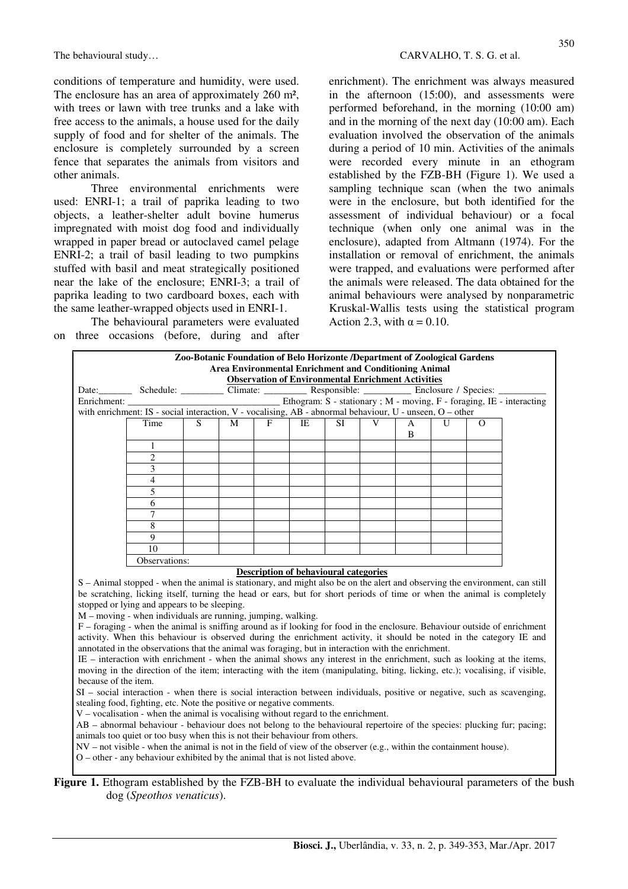conditions of temperature and humidity, were used. The enclosure has an area of approximately 260 m², with trees or lawn with tree trunks and a lake with free access to the animals, a house used for the daily supply of food and for shelter of the animals. The enclosure is completely surrounded by a screen fence that separates the animals from visitors and other animals.

 Three environmental enrichments were used: ENRI-1; a trail of paprika leading to two objects, a leather-shelter adult bovine humerus impregnated with moist dog food and individually wrapped in paper bread or autoclaved camel pelage ENRI-2; a trail of basil leading to two pumpkins stuffed with basil and meat strategically positioned near the lake of the enclosure; ENRI-3; a trail of paprika leading to two cardboard boxes, each with the same leather-wrapped objects used in ENRI-1.

 The behavioural parameters were evaluated on three occasions (before, during and after enrichment). The enrichment was always measured in the afternoon (15:00), and assessments were performed beforehand, in the morning (10:00 am) and in the morning of the next day (10:00 am). Each evaluation involved the observation of the animals during a period of 10 min. Activities of the animals were recorded every minute in an ethogram established by the FZB-BH (Figure 1). We used a sampling technique scan (when the two animals were in the enclosure, but both identified for the assessment of individual behaviour) or a focal technique (when only one animal was in the enclosure), adapted from Altmann (1974). For the installation or removal of enrichment, the animals were trapped, and evaluations were performed after the animals were released. The data obtained for the animal behaviours were analysed by nonparametric Kruskal-Wallis tests using the statistical program Action 2.3, with  $\alpha = 0.10$ .

|                      | Date: Schedule: Climate: Responsible: Enclosure / Species:                                                                                                                                                                                                                                                                                                                                                                                                                                                                                                                                                                                                                                                                                                                                                                                                                                                                                                                                                                                                                                                                                                                                                                                                                                                                                                              |   |   |   | <b>Observation of Environmental Enrichment Activities</b> |           |   |   |   |          |                                                                       |
|----------------------|-------------------------------------------------------------------------------------------------------------------------------------------------------------------------------------------------------------------------------------------------------------------------------------------------------------------------------------------------------------------------------------------------------------------------------------------------------------------------------------------------------------------------------------------------------------------------------------------------------------------------------------------------------------------------------------------------------------------------------------------------------------------------------------------------------------------------------------------------------------------------------------------------------------------------------------------------------------------------------------------------------------------------------------------------------------------------------------------------------------------------------------------------------------------------------------------------------------------------------------------------------------------------------------------------------------------------------------------------------------------------|---|---|---|-----------------------------------------------------------|-----------|---|---|---|----------|-----------------------------------------------------------------------|
| Enrichment:          |                                                                                                                                                                                                                                                                                                                                                                                                                                                                                                                                                                                                                                                                                                                                                                                                                                                                                                                                                                                                                                                                                                                                                                                                                                                                                                                                                                         |   |   |   |                                                           |           |   |   |   |          | Ethogram: S - stationary ; M - moving, F - foraging, IE - interacting |
|                      | with enrichment: IS - social interaction, V - vocalising, AB - abnormal behaviour, U - unseen, O - other                                                                                                                                                                                                                                                                                                                                                                                                                                                                                                                                                                                                                                                                                                                                                                                                                                                                                                                                                                                                                                                                                                                                                                                                                                                                |   |   |   |                                                           |           |   |   |   |          |                                                                       |
|                      | Time                                                                                                                                                                                                                                                                                                                                                                                                                                                                                                                                                                                                                                                                                                                                                                                                                                                                                                                                                                                                                                                                                                                                                                                                                                                                                                                                                                    | S | M | F | <b>IE</b>                                                 | <b>SI</b> | V | А | U | $\Omega$ |                                                                       |
|                      |                                                                                                                                                                                                                                                                                                                                                                                                                                                                                                                                                                                                                                                                                                                                                                                                                                                                                                                                                                                                                                                                                                                                                                                                                                                                                                                                                                         |   |   |   |                                                           |           |   | B |   |          |                                                                       |
|                      | 1                                                                                                                                                                                                                                                                                                                                                                                                                                                                                                                                                                                                                                                                                                                                                                                                                                                                                                                                                                                                                                                                                                                                                                                                                                                                                                                                                                       |   |   |   |                                                           |           |   |   |   |          |                                                                       |
|                      | $\overline{2}$                                                                                                                                                                                                                                                                                                                                                                                                                                                                                                                                                                                                                                                                                                                                                                                                                                                                                                                                                                                                                                                                                                                                                                                                                                                                                                                                                          |   |   |   |                                                           |           |   |   |   |          |                                                                       |
|                      | 3                                                                                                                                                                                                                                                                                                                                                                                                                                                                                                                                                                                                                                                                                                                                                                                                                                                                                                                                                                                                                                                                                                                                                                                                                                                                                                                                                                       |   |   |   |                                                           |           |   |   |   |          |                                                                       |
|                      | 4                                                                                                                                                                                                                                                                                                                                                                                                                                                                                                                                                                                                                                                                                                                                                                                                                                                                                                                                                                                                                                                                                                                                                                                                                                                                                                                                                                       |   |   |   |                                                           |           |   |   |   |          |                                                                       |
|                      | 5                                                                                                                                                                                                                                                                                                                                                                                                                                                                                                                                                                                                                                                                                                                                                                                                                                                                                                                                                                                                                                                                                                                                                                                                                                                                                                                                                                       |   |   |   |                                                           |           |   |   |   |          |                                                                       |
|                      | 6                                                                                                                                                                                                                                                                                                                                                                                                                                                                                                                                                                                                                                                                                                                                                                                                                                                                                                                                                                                                                                                                                                                                                                                                                                                                                                                                                                       |   |   |   |                                                           |           |   |   |   |          |                                                                       |
|                      | 7                                                                                                                                                                                                                                                                                                                                                                                                                                                                                                                                                                                                                                                                                                                                                                                                                                                                                                                                                                                                                                                                                                                                                                                                                                                                                                                                                                       |   |   |   |                                                           |           |   |   |   |          |                                                                       |
|                      | 8                                                                                                                                                                                                                                                                                                                                                                                                                                                                                                                                                                                                                                                                                                                                                                                                                                                                                                                                                                                                                                                                                                                                                                                                                                                                                                                                                                       |   |   |   |                                                           |           |   |   |   |          |                                                                       |
|                      | 9                                                                                                                                                                                                                                                                                                                                                                                                                                                                                                                                                                                                                                                                                                                                                                                                                                                                                                                                                                                                                                                                                                                                                                                                                                                                                                                                                                       |   |   |   |                                                           |           |   |   |   |          |                                                                       |
|                      | 10                                                                                                                                                                                                                                                                                                                                                                                                                                                                                                                                                                                                                                                                                                                                                                                                                                                                                                                                                                                                                                                                                                                                                                                                                                                                                                                                                                      |   |   |   |                                                           |           |   |   |   |          |                                                                       |
|                      |                                                                                                                                                                                                                                                                                                                                                                                                                                                                                                                                                                                                                                                                                                                                                                                                                                                                                                                                                                                                                                                                                                                                                                                                                                                                                                                                                                         |   |   |   |                                                           |           |   |   |   |          |                                                                       |
|                      | Observations:<br>S - Animal stopped - when the animal is stationary, and might also be on the alert and observing the environment, can still<br>be scratching, licking itself, turning the head or ears, but for short periods of time or when the animal is completely                                                                                                                                                                                                                                                                                                                                                                                                                                                                                                                                                                                                                                                                                                                                                                                                                                                                                                                                                                                                                                                                                                 |   |   |   | <b>Description of behavioural categories</b>              |           |   |   |   |          |                                                                       |
| because of the item. | stopped or lying and appears to be sleeping.<br>$M$ – moving - when individuals are running, jumping, walking.<br>F – foraging - when the animal is sniffing around as if looking for food in the enclosure. Behaviour outside of enrichment<br>activity. When this behaviour is observed during the enrichment activity, it should be noted in the category IE and<br>annotated in the observations that the animal was foraging, but in interaction with the enrichment.<br>IE – interaction with enrichment - when the animal shows any interest in the enrichment, such as looking at the items,<br>moving in the direction of the item; interacting with the item (manipulating, biting, licking, etc.); vocalising, if visible,<br>SI - social interaction - when there is social interaction between individuals, positive or negative, such as scavenging,<br>stealing food, fighting, etc. Note the positive or negative comments.<br>$V$ – vocalisation - when the animal is vocalising without regard to the enrichment.<br>AB - abnormal behaviour - behaviour does not belong to the behavioural repertoire of the species: plucking fur; pacing;<br>animals too quiet or too busy when this is not their behaviour from others.<br>$NV$ – not visible - when the animal is not in the field of view of the observer (e.g., within the containment house). |   |   |   |                                                           |           |   |   |   |          |                                                                       |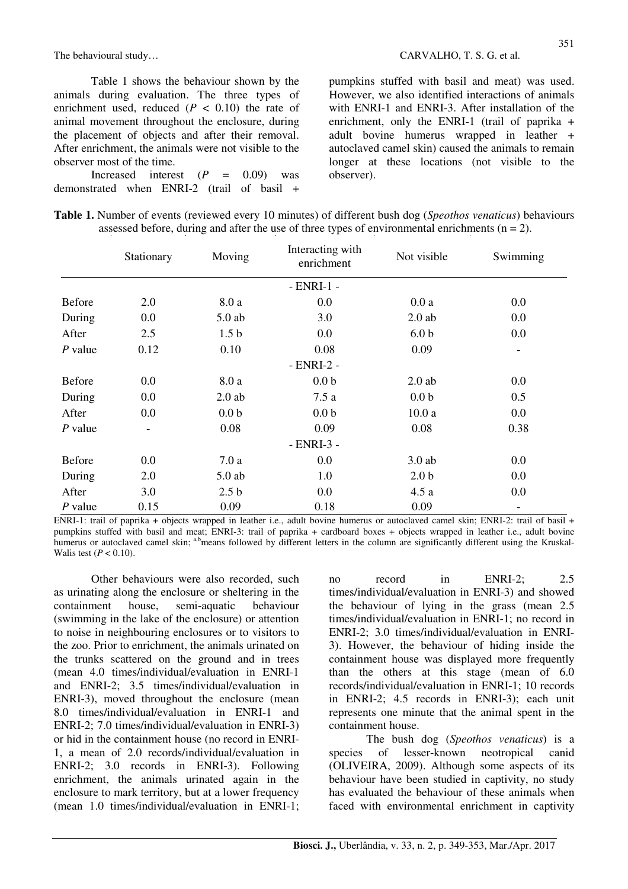Table 1 shows the behaviour shown by the animals during evaluation. The three types of enrichment used, reduced  $(P < 0.10)$  the rate of animal movement throughout the enclosure, during the placement of objects and after their removal. After enrichment, the animals were not visible to the observer most of the time.

Increased interest  $(P = 0.09)$  was demonstrated when ENRI-2 (trail of basil + pumpkins stuffed with basil and meat) was used. However, we also identified interactions of animals with ENRI-1 and ENRI-3. After installation of the enrichment, only the ENRI-1 (trail of paprika + adult bovine humerus wrapped in leather + autoclaved camel skin) caused the animals to remain longer at these locations (not visible to the observer).

|               | Stationary               | Moving           | Interacting with<br>enrichment | Not visible      | Swimming                 |
|---------------|--------------------------|------------------|--------------------------------|------------------|--------------------------|
|               |                          |                  | $- ENRI-1 -$                   |                  |                          |
| <b>Before</b> | 2.0                      | 8.0a             | 0.0                            | 0.0a             | 0.0                      |
| During        | 0.0                      | $5.0$ ab         | 3.0                            | $2.0$ ab         | 0.0                      |
| After         | 2.5                      | 1.5 <sub>b</sub> | 0.0                            | 6.0 <sub>b</sub> | 0.0                      |
| $P$ value     | 0.12                     | 0.10             | 0.08                           | 0.09             | $\overline{\phantom{a}}$ |
|               |                          |                  | $- ENRI-2 -$                   |                  |                          |
| <b>Before</b> | 0.0                      | 8.0 a            | 0.0 <sub>b</sub>               | $2.0$ ab         | 0.0                      |
| During        | 0.0                      | $2.0$ ab         | 7.5a                           | 0.0 <sub>b</sub> | 0.5                      |
| After         | 0.0                      | 0.0 <sub>b</sub> | 0.0 <sub>b</sub>               | 10.0a            | 0.0                      |
| $P$ value     | $\overline{\phantom{a}}$ | 0.08             | 0.09                           | 0.08             | 0.38                     |
|               |                          |                  | - ENRI-3 -                     |                  |                          |
| <b>Before</b> | 0.0                      | 7.0a             | 0.0                            | $3.0$ ab         | 0.0                      |
| During        | 2.0                      | $5.0$ ab         | 1.0                            | 2.0 <sub>b</sub> | 0.0                      |
| After         | 3.0                      | 2.5 <sub>b</sub> | 0.0                            | 4.5a             | 0.0                      |
| $P$ value     | 0.15                     | 0.09             | 0.18                           | 0.09             | $\overline{\phantom{a}}$ |

| Table 1. Number of events (reviewed every 10 minutes) of different bush dog (Speothos venaticus) behaviours |  |
|-------------------------------------------------------------------------------------------------------------|--|
| assessed before, during and after the use of three types of environmental enrichments $(n = 2)$ .           |  |

ENRI-1: trail of paprika + objects wrapped in leather i.e., adult bovine humerus or autoclaved camel skin; ENRI-2: trail of basil + pumpkins stuffed with basil and meat; ENRI-3: trail of paprika + cardboard boxes + objects wrapped in leather i.e., adult bovine humerus or autoclaved camel skin; <sup>a,b</sup>means followed by different letters in the column are significantly different using the Kruskal-Walis test  $(P < 0.10)$ .

Other behaviours were also recorded, such as urinating along the enclosure or sheltering in the containment house, semi-aquatic behaviour (swimming in the lake of the enclosure) or attention to noise in neighbouring enclosures or to visitors to the zoo. Prior to enrichment, the animals urinated on the trunks scattered on the ground and in trees (mean 4.0 times/individual/evaluation in ENRI-1 and ENRI-2; 3.5 times/individual/evaluation in ENRI-3), moved throughout the enclosure (mean 8.0 times/individual/evaluation in ENRI-1 and ENRI-2; 7.0 times/individual/evaluation in ENRI-3) or hid in the containment house (no record in ENRI-1, a mean of 2.0 records/individual/evaluation in ENRI-2; 3.0 records in ENRI-3). Following enrichment, the animals urinated again in the enclosure to mark territory, but at a lower frequency (mean 1.0 times/individual/evaluation in ENRI-1; no record in ENRI-2; 2.5 times/individual/evaluation in ENRI-3) and showed the behaviour of lying in the grass (mean 2.5 times/individual/evaluation in ENRI-1; no record in ENRI-2; 3.0 times/individual/evaluation in ENRI-3). However, the behaviour of hiding inside the containment house was displayed more frequently than the others at this stage (mean of 6.0 records/individual/evaluation in ENRI-1; 10 records in ENRI-2; 4.5 records in ENRI-3); each unit represents one minute that the animal spent in the containment house.

 The bush dog (*Speothos venaticus*) is a species of lesser-known neotropical canid (OLIVEIRA, 2009). Although some aspects of its behaviour have been studied in captivity, no study has evaluated the behaviour of these animals when faced with environmental enrichment in captivity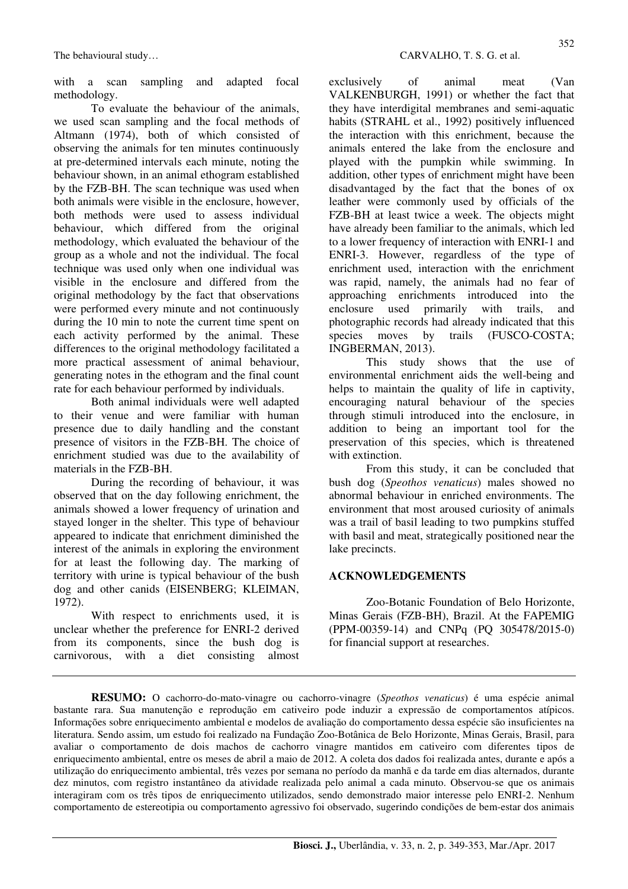with a scan sampling and adapted focal methodology.

To evaluate the behaviour of the animals, we used scan sampling and the focal methods of Altmann (1974), both of which consisted of observing the animals for ten minutes continuously at pre-determined intervals each minute, noting the behaviour shown, in an animal ethogram established by the FZB-BH. The scan technique was used when both animals were visible in the enclosure, however, both methods were used to assess individual behaviour, which differed from the original methodology, which evaluated the behaviour of the group as a whole and not the individual. The focal technique was used only when one individual was visible in the enclosure and differed from the original methodology by the fact that observations were performed every minute and not continuously during the 10 min to note the current time spent on each activity performed by the animal. These differences to the original methodology facilitated a more practical assessment of animal behaviour, generating notes in the ethogram and the final count rate for each behaviour performed by individuals.

 Both animal individuals were well adapted to their venue and were familiar with human presence due to daily handling and the constant presence of visitors in the FZB-BH. The choice of enrichment studied was due to the availability of materials in the FZB-BH.

 During the recording of behaviour, it was observed that on the day following enrichment, the animals showed a lower frequency of urination and stayed longer in the shelter. This type of behaviour appeared to indicate that enrichment diminished the interest of the animals in exploring the environment for at least the following day. The marking of territory with urine is typical behaviour of the bush dog and other canids (EISENBERG; KLEIMAN, 1972).

With respect to enrichments used, it is unclear whether the preference for ENRI-2 derived from its components, since the bush dog is carnivorous, with a diet consisting almost exclusively of animal meat (Van VALKENBURGH, 1991) or whether the fact that they have interdigital membranes and semi-aquatic habits (STRAHL et al., 1992) positively influenced the interaction with this enrichment, because the animals entered the lake from the enclosure and played with the pumpkin while swimming. In addition, other types of enrichment might have been disadvantaged by the fact that the bones of ox leather were commonly used by officials of the FZB-BH at least twice a week. The objects might have already been familiar to the animals, which led to a lower frequency of interaction with ENRI-1 and ENRI-3. However, regardless of the type of enrichment used, interaction with the enrichment was rapid, namely, the animals had no fear of approaching enrichments introduced into the enclosure used primarily with trails, and photographic records had already indicated that this species moves by trails (FUSCO-COSTA: INGBERMAN, 2013).

 This study shows that the use of environmental enrichment aids the well-being and helps to maintain the quality of life in captivity, encouraging natural behaviour of the species through stimuli introduced into the enclosure, in addition to being an important tool for the preservation of this species, which is threatened with extinction.

 From this study, it can be concluded that bush dog (*Speothos venaticus*) males showed no abnormal behaviour in enriched environments. The environment that most aroused curiosity of animals was a trail of basil leading to two pumpkins stuffed with basil and meat, strategically positioned near the lake precincts.

# **ACKNOWLEDGEMENTS**

Zoo-Botanic Foundation of Belo Horizonte, Minas Gerais (FZB-BH), Brazil. At the FAPEMIG (PPM-00359-14) and CNPq (PQ 305478/2015-0) for financial support at researches.

**RESUMO:** O cachorro-do-mato-vinagre ou cachorro-vinagre (*Speothos venaticus*) é uma espécie animal bastante rara. Sua manutenção e reprodução em cativeiro pode induzir a expressão de comportamentos atípicos. Informações sobre enriquecimento ambiental e modelos de avaliação do comportamento dessa espécie são insuficientes na literatura. Sendo assim, um estudo foi realizado na Fundação Zoo-Botânica de Belo Horizonte, Minas Gerais, Brasil, para avaliar o comportamento de dois machos de cachorro vinagre mantidos em cativeiro com diferentes tipos de enriquecimento ambiental, entre os meses de abril a maio de 2012. A coleta dos dados foi realizada antes, durante e após a utilização do enriquecimento ambiental, três vezes por semana no período da manhã e da tarde em dias alternados, durante dez minutos, com registro instantâneo da atividade realizada pelo animal a cada minuto. Observou-se que os animais interagiram com os três tipos de enriquecimento utilizados, sendo demonstrado maior interesse pelo ENRI-2. Nenhum comportamento de estereotipia ou comportamento agressivo foi observado, sugerindo condições de bem-estar dos animais